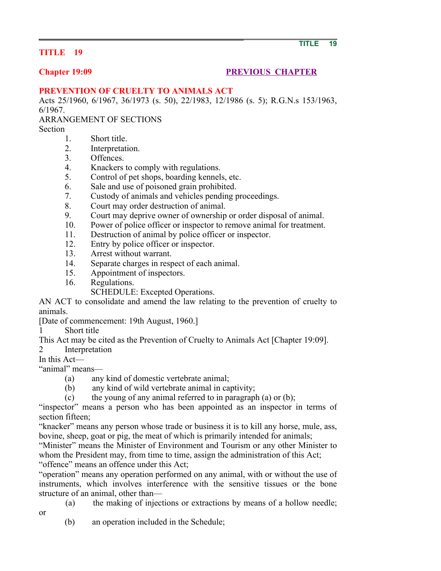### **TITLE 19**

# **Chapter 19:09 PREVIOUS CHAPTER**

### **PREVENTION OF CRUELTY TO ANIMALS ACT**

Acts 25/1960, 6/1967, 36/1973 (s. 50), 22/1983, 12/1986 (s. 5); R.G.N.s 153/1963, 6/1967.

ARRANGEMENT OF SECTIONS

Section

- 1. Short title.
- 2. Interpretation.
- 3. Offences.
- 4. Knackers to comply with regulations.
- 5. Control of pet shops, boarding kennels, etc.
- 6. Sale and use of poisoned grain prohibited.
- 7. Custody of animals and vehicles pending proceedings.
- 8. Court may order destruction of animal.
- 9. Court may deprive owner of ownership or order disposal of animal.
- 10. Power of police officer or inspector to remove animal for treatment.
- 11. Destruction of animal by police officer or inspector.
- 12. Entry by police officer or inspector.
- 13. Arrest without warrant.
- 14. Separate charges in respect of each animal.
- 15. Appointment of inspectors.
- 16. Regulations.
	- SCHEDULE: Excepted Operations.

AN ACT to consolidate and amend the law relating to the prevention of cruelty to animals.

[Date of commencement: 19th August, 1960.]

1 Short title

This Act may be cited as the Prevention of Cruelty to Animals Act [Chapter 19:09].

2 Interpretation

In this Act—

or

"animal" means—

- (a) any kind of domestic vertebrate animal;
- (b) any kind of wild vertebrate animal in captivity;

(c) the young of any animal referred to in paragraph (a) or (b);

"inspector" means a person who has been appointed as an inspector in terms of section fifteen;

"knacker" means any person whose trade or business it is to kill any horse, mule, ass, bovine, sheep, goat or pig, the meat of which is primarily intended for animals;

"Minister" means the Minister of Environment and Tourism or any other Minister to whom the President may, from time to time, assign the administration of this Act; "offence" means an offence under this Act;

"operation" means any operation performed on any animal, with or without the use of instruments, which involves interference with the sensitive tissues or the bone structure of an animal, other than—

(a) the making of injections or extractions by means of a hollow needle;

(b) an operation included in the Schedule;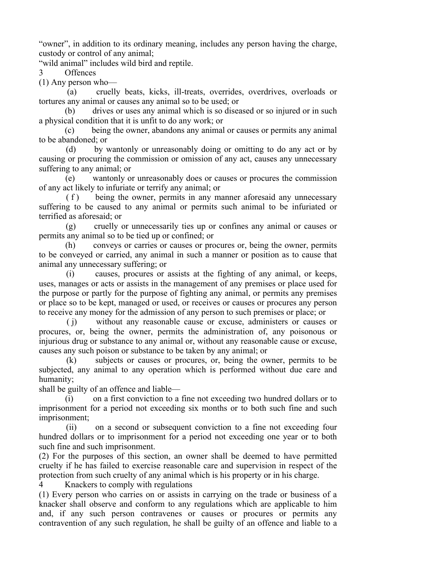"owner", in addition to its ordinary meaning, includes any person having the charge, custody or control of any animal;

"wild animal" includes wild bird and reptile.

3 Offences

(1) Any person who—

 (a) cruelly beats, kicks, ill-treats, overrides, overdrives, overloads or tortures any animal or causes any animal so to be used; or

 (b) drives or uses any animal which is so diseased or so injured or in such a physical condition that it is unfit to do any work; or

 (c) being the owner, abandons any animal or causes or permits any animal to be abandoned; or

 (d) by wantonly or unreasonably doing or omitting to do any act or by causing or procuring the commission or omission of any act, causes any unnecessary suffering to any animal; or

 (e) wantonly or unreasonably does or causes or procures the commission of any act likely to infuriate or terrify any animal; or

 ( f ) being the owner, permits in any manner aforesaid any unnecessary suffering to be caused to any animal or permits such animal to be infuriated or terrified as aforesaid; or

 (g) cruelly or unnecessarily ties up or confines any animal or causes or permits any animal so to be tied up or confined; or

 (h) conveys or carries or causes or procures or, being the owner, permits to be conveyed or carried, any animal in such a manner or position as to cause that animal any unnecessary suffering; or

 (i) causes, procures or assists at the fighting of any animal, or keeps, uses, manages or acts or assists in the management of any premises or place used for the purpose or partly for the purpose of fighting any animal, or permits any premises or place so to be kept, managed or used, or receives or causes or procures any person to receive any money for the admission of any person to such premises or place; or

 ( j) without any reasonable cause or excuse, administers or causes or procures, or, being the owner, permits the administration of, any poisonous or injurious drug or substance to any animal or, without any reasonable cause or excuse, causes any such poison or substance to be taken by any animal; or

 (k) subjects or causes or procures, or, being the owner, permits to be subjected, any animal to any operation which is performed without due care and humanity;

shall be guilty of an offence and liable—

 (i) on a first conviction to a fine not exceeding two hundred dollars or to imprisonment for a period not exceeding six months or to both such fine and such imprisonment;

 (ii) on a second or subsequent conviction to a fine not exceeding four hundred dollars or to imprisonment for a period not exceeding one year or to both such fine and such imprisonment.

(2) For the purposes of this section, an owner shall be deemed to have permitted cruelty if he has failed to exercise reasonable care and supervision in respect of the protection from such cruelty of any animal which is his property or in his charge.

4 Knackers to comply with regulations

(1) Every person who carries on or assists in carrying on the trade or business of a knacker shall observe and conform to any regulations which are applicable to him and, if any such person contravenes or causes or procures or permits any contravention of any such regulation, he shall be guilty of an offence and liable to a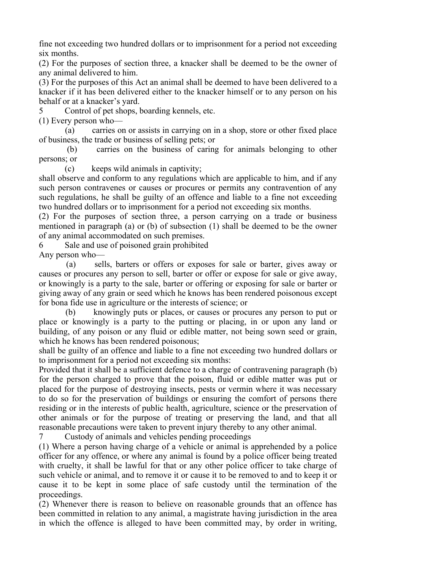fine not exceeding two hundred dollars or to imprisonment for a period not exceeding six months.

(2) For the purposes of section three, a knacker shall be deemed to be the owner of any animal delivered to him.

(3) For the purposes of this Act an animal shall be deemed to have been delivered to a knacker if it has been delivered either to the knacker himself or to any person on his behalf or at a knacker's yard.

5 Control of pet shops, boarding kennels, etc.

(1) Every person who—

 (a) carries on or assists in carrying on in a shop, store or other fixed place of business, the trade or business of selling pets; or

 (b) carries on the business of caring for animals belonging to other persons; or

(c) keeps wild animals in captivity;

shall observe and conform to any regulations which are applicable to him, and if any such person contravenes or causes or procures or permits any contravention of any such regulations, he shall be guilty of an offence and liable to a fine not exceeding two hundred dollars or to imprisonment for a period not exceeding six months.

(2) For the purposes of section three, a person carrying on a trade or business mentioned in paragraph (a) or (b) of subsection (1) shall be deemed to be the owner of any animal accommodated on such premises.

6 Sale and use of poisoned grain prohibited

Any person who—

 (a) sells, barters or offers or exposes for sale or barter, gives away or causes or procures any person to sell, barter or offer or expose for sale or give away, or knowingly is a party to the sale, barter or offering or exposing for sale or barter or giving away of any grain or seed which he knows has been rendered poisonous except for bona fide use in agriculture or the interests of science; or

 (b) knowingly puts or places, or causes or procures any person to put or place or knowingly is a party to the putting or placing, in or upon any land or building, of any poison or any fluid or edible matter, not being sown seed or grain, which he knows has been rendered poisonous;

shall be guilty of an offence and liable to a fine not exceeding two hundred dollars or to imprisonment for a period not exceeding six months:

Provided that it shall be a sufficient defence to a charge of contravening paragraph (b) for the person charged to prove that the poison, fluid or edible matter was put or placed for the purpose of destroying insects, pests or vermin where it was necessary to do so for the preservation of buildings or ensuring the comfort of persons there residing or in the interests of public health, agriculture, science or the preservation of other animals or for the purpose of treating or preserving the land, and that all reasonable precautions were taken to prevent injury thereby to any other animal.

7 Custody of animals and vehicles pending proceedings

(1) Where a person having charge of a vehicle or animal is apprehended by a police officer for any offence, or where any animal is found by a police officer being treated with cruelty, it shall be lawful for that or any other police officer to take charge of such vehicle or animal, and to remove it or cause it to be removed to and to keep it or cause it to be kept in some place of safe custody until the termination of the proceedings.

(2) Whenever there is reason to believe on reasonable grounds that an offence has been committed in relation to any animal, a magistrate having jurisdiction in the area in which the offence is alleged to have been committed may, by order in writing,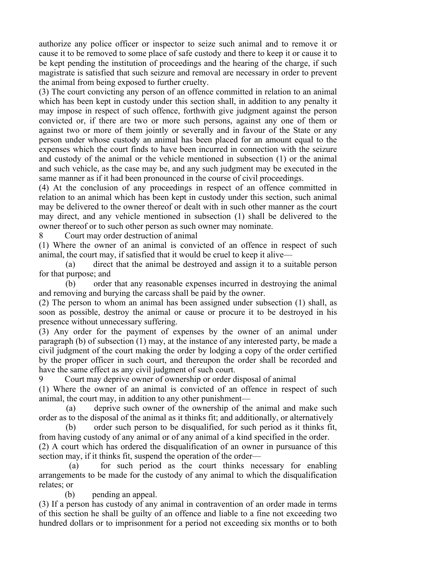authorize any police officer or inspector to seize such animal and to remove it or cause it to be removed to some place of safe custody and there to keep it or cause it to be kept pending the institution of proceedings and the hearing of the charge, if such magistrate is satisfied that such seizure and removal are necessary in order to prevent the animal from being exposed to further cruelty.

(3) The court convicting any person of an offence committed in relation to an animal which has been kept in custody under this section shall, in addition to any penalty it may impose in respect of such offence, forthwith give judgment against the person convicted or, if there are two or more such persons, against any one of them or against two or more of them jointly or severally and in favour of the State or any person under whose custody an animal has been placed for an amount equal to the expenses which the court finds to have been incurred in connection with the seizure and custody of the animal or the vehicle mentioned in subsection (1) or the animal and such vehicle, as the case may be, and any such judgment may be executed in the same manner as if it had been pronounced in the course of civil proceedings.

(4) At the conclusion of any proceedings in respect of an offence committed in relation to an animal which has been kept in custody under this section, such animal may be delivered to the owner thereof or dealt with in such other manner as the court may direct, and any vehicle mentioned in subsection (1) shall be delivered to the owner thereof or to such other person as such owner may nominate.

8 Court may order destruction of animal

(1) Where the owner of an animal is convicted of an offence in respect of such animal, the court may, if satisfied that it would be cruel to keep it alive—

 (a) direct that the animal be destroyed and assign it to a suitable person for that purpose; and

 (b) order that any reasonable expenses incurred in destroying the animal and removing and burying the carcass shall be paid by the owner.

(2) The person to whom an animal has been assigned under subsection (1) shall, as soon as possible, destroy the animal or cause or procure it to be destroyed in his presence without unnecessary suffering.

(3) Any order for the payment of expenses by the owner of an animal under paragraph (b) of subsection (1) may, at the instance of any interested party, be made a civil judgment of the court making the order by lodging a copy of the order certified by the proper officer in such court, and thereupon the order shall be recorded and have the same effect as any civil judgment of such court.

9 Court may deprive owner of ownership or order disposal of animal (1) Where the owner of an animal is convicted of an offence in respect of such

animal, the court may, in addition to any other punishment— (a) deprive such owner of the ownership of the animal and make such

order as to the disposal of the animal as it thinks fit; and additionally, or alternatively

 (b) order such person to be disqualified, for such period as it thinks fit, from having custody of any animal or of any animal of a kind specified in the order. (2) A court which has ordered the disqualification of an owner in pursuance of this

section may, if it thinks fit, suspend the operation of the order—

 (a) for such period as the court thinks necessary for enabling arrangements to be made for the custody of any animal to which the disqualification relates; or

(b) pending an appeal.

(3) If a person has custody of any animal in contravention of an order made in terms of this section he shall be guilty of an offence and liable to a fine not exceeding two hundred dollars or to imprisonment for a period not exceeding six months or to both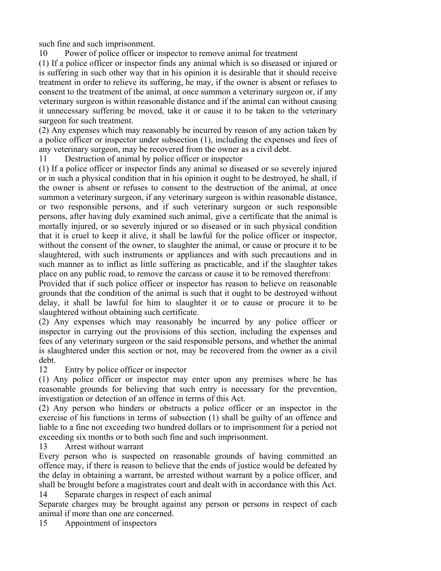such fine and such imprisonment.

10 Power of police officer or inspector to remove animal for treatment

(1) If a police officer or inspector finds any animal which is so diseased or injured or is suffering in such other way that in his opinion it is desirable that it should receive treatment in order to relieve its suffering, he may, if the owner is absent or refuses to consent to the treatment of the animal, at once summon a veterinary surgeon or, if any veterinary surgeon is within reasonable distance and if the animal can without causing it unnecessary suffering be moved, take it or cause it to be taken to the veterinary surgeon for such treatment.

(2) Any expenses which may reasonably be incurred by reason of any action taken by a police officer or inspector under subsection (1), including the expenses and fees of any veterinary surgeon, may be recovered from the owner as a civil debt.

11 Destruction of animal by police officer or inspector

(1) If a police officer or inspector finds any animal so diseased or so severely injured or in such a physical condition that in his opinion it ought to be destroyed, he shall, if the owner is absent or refuses to consent to the destruction of the animal, at once summon a veterinary surgeon, if any veterinary surgeon is within reasonable distance, or two responsible persons, and if such veterinary surgeon or such responsible persons, after having duly examined such animal, give a certificate that the animal is mortally injured, or so severely injured or so diseased or in such physical condition that it is cruel to keep it alive, it shall be lawful for the police officer or inspector, without the consent of the owner, to slaughter the animal, or cause or procure it to be slaughtered, with such instruments or appliances and with such precautions and in such manner as to inflict as little suffering as practicable, and if the slaughter takes place on any public road, to remove the carcass or cause it to be removed therefrom:

Provided that if such police officer or inspector has reason to believe on reasonable grounds that the condition of the animal is such that it ought to be destroyed without delay, it shall be lawful for him to slaughter it or to cause or procure it to be slaughtered without obtaining such certificate.

(2) Any expenses which may reasonably be incurred by any police officer or inspector in carrying out the provisions of this section, including the expenses and fees of any veterinary surgeon or the said responsible persons, and whether the animal is slaughtered under this section or not, may be recovered from the owner as a civil debt.

12 Entry by police officer or inspector

(1) Any police officer or inspector may enter upon any premises where he has reasonable grounds for believing that such entry is necessary for the prevention, investigation or detection of an offence in terms of this Act.

(2) Any person who hinders or obstructs a police officer or an inspector in the exercise of his functions in terms of subsection (1) shall be guilty of an offence and liable to a fine not exceeding two hundred dollars or to imprisonment for a period not exceeding six months or to both such fine and such imprisonment.

13 Arrest without warrant

Every person who is suspected on reasonable grounds of having committed an offence may, if there is reason to believe that the ends of justice would be defeated by the delay in obtaining a warrant, be arrested without warrant by a police officer, and shall be brought before a magistrates court and dealt with in accordance with this Act. 14 Separate charges in respect of each animal

Separate charges may be brought against any person or persons in respect of each animal if more than one are concerned.

15 Appointment of inspectors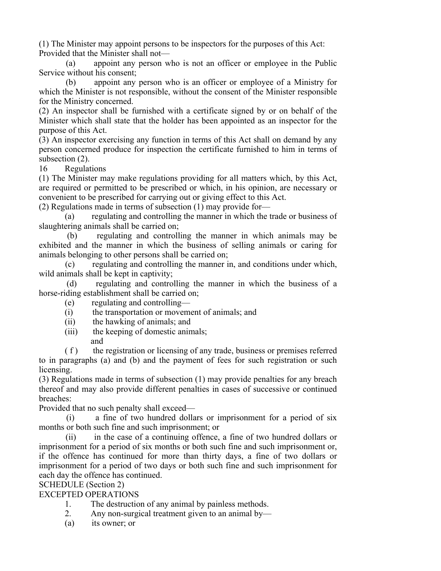(1) The Minister may appoint persons to be inspectors for the purposes of this Act: Provided that the Minister shall not—

 (a) appoint any person who is not an officer or employee in the Public Service without his consent;

 (b) appoint any person who is an officer or employee of a Ministry for which the Minister is not responsible, without the consent of the Minister responsible for the Ministry concerned.

(2) An inspector shall be furnished with a certificate signed by or on behalf of the Minister which shall state that the holder has been appointed as an inspector for the purpose of this Act.

(3) An inspector exercising any function in terms of this Act shall on demand by any person concerned produce for inspection the certificate furnished to him in terms of subsection  $(2)$ .

16 Regulations

(1) The Minister may make regulations providing for all matters which, by this Act, are required or permitted to be prescribed or which, in his opinion, are necessary or convenient to be prescribed for carrying out or giving effect to this Act.

(2) Regulations made in terms of subsection (1) may provide for—

 (a) regulating and controlling the manner in which the trade or business of slaughtering animals shall be carried on;

 (b) regulating and controlling the manner in which animals may be exhibited and the manner in which the business of selling animals or caring for animals belonging to other persons shall be carried on;

 (c) regulating and controlling the manner in, and conditions under which, wild animals shall be kept in captivity;

 (d) regulating and controlling the manner in which the business of a horse-riding establishment shall be carried on;

- (e) regulating and controlling—
- (i) the transportation or movement of animals; and
- (ii) the hawking of animals; and
- (iii) the keeping of domestic animals;
- and

 ( f ) the registration or licensing of any trade, business or premises referred to in paragraphs (a) and (b) and the payment of fees for such registration or such licensing.

(3) Regulations made in terms of subsection (1) may provide penalties for any breach thereof and may also provide different penalties in cases of successive or continued breaches:

Provided that no such penalty shall exceed—

 (i) a fine of two hundred dollars or imprisonment for a period of six months or both such fine and such imprisonment; or

 (ii) in the case of a continuing offence, a fine of two hundred dollars or imprisonment for a period of six months or both such fine and such imprisonment or, if the offence has continued for more than thirty days, a fine of two dollars or imprisonment for a period of two days or both such fine and such imprisonment for each day the offence has continued.

SCHEDULE (Section 2)

EXCEPTED OPERATIONS

- 1. The destruction of any animal by painless methods.
- 2. Any non-surgical treatment given to an animal by—
- (a) its owner; or